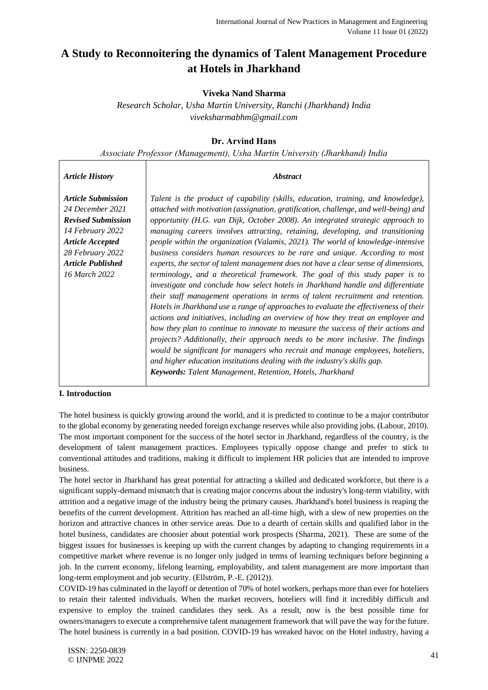# **A Study to Reconnoitering the dynamics of Talent Management Procedure at Hotels in Jharkhand**

# **Viveka Nand Sharma**

*Research Scholar, Usha Martin University, Ranchi (Jharkhand) India viveksharmabhm@gmail.com* 

# **Dr. Arvind Hans**

*Associate Professor (Management), Usha Martin University (Jharkhand) India*

| <b>Article History</b>                                                                                                                                                              | <i><b>Abstract</b></i>                                                                                                                                                                                                                                                                                                                                                                                                                                                                                                                                                                                                                                                                                                                                                                                                                                                                                                                                                                                                                                                                                                                                                                                                                                                                                                                                                                                                                                |
|-------------------------------------------------------------------------------------------------------------------------------------------------------------------------------------|-------------------------------------------------------------------------------------------------------------------------------------------------------------------------------------------------------------------------------------------------------------------------------------------------------------------------------------------------------------------------------------------------------------------------------------------------------------------------------------------------------------------------------------------------------------------------------------------------------------------------------------------------------------------------------------------------------------------------------------------------------------------------------------------------------------------------------------------------------------------------------------------------------------------------------------------------------------------------------------------------------------------------------------------------------------------------------------------------------------------------------------------------------------------------------------------------------------------------------------------------------------------------------------------------------------------------------------------------------------------------------------------------------------------------------------------------------|
| <b>Article Submission</b><br>24 December 2021<br><b>Revised Submission</b><br>14 February 2022<br><b>Article Accepted</b><br>28 February 2022<br>Article Published<br>16 March 2022 | Talent is the product of capability (skills, education, training, and knowledge),<br>attached with motivation (assignation, gratification, challenge, and well-being) and<br>opportunity (H.G. van Dijk, October 2008). An integrated strategic approach to<br>managing careers involves attracting, retaining, developing, and transitioning<br>people within the organization (Valamis, 2021). The world of knowledge-intensive<br>business considers human resources to be rare and unique. According to most<br>experts, the sector of talent management does not have a clear sense of dimensions,<br>terminology, and a theoretical framework. The goal of this study paper is to<br>investigate and conclude how select hotels in Jharkhand handle and differentiate<br>their staff management operations in terms of talent recruitment and retention.<br>Hotels in Jharkhand use a range of approaches to evaluate the effectiveness of their<br>actions and initiatives, including an overview of how they treat an employee and<br>how they plan to continue to innovate to measure the success of their actions and<br>projects? Additionally, their approach needs to be more inclusive. The findings<br>would be significant for managers who recruit and manage employees, hoteliers,<br>and higher education institutions dealing with the industry's skills gap.<br><b>Keywords:</b> Talent Management, Retention, Hotels, Jharkhand |

## **I. Introduction**

The hotel business is quickly growing around the world, and it is predicted to continue to be a major contributor to the global economy by generating needed foreign exchange reserves while also providing jobs. (Labour, 2010). The most important component for the success of the hotel sector in Jharkhand, regardless of the country, is the development of talent management practices. Employees typically oppose change and prefer to stick to conventional attitudes and traditions, making it difficult to implement HR policies that are intended to improve business.

The hotel sector in Jharkhand has great potential for attracting a skilled and dedicated workforce, but there is a significant supply-demand mismatch that is creating major concerns about the industry's long-term viability, with attrition and a negative image of the industry being the primary causes. Jharkhand's hotel business is reaping the benefits of the current development. Attrition has reached an all-time high, with a slew of new properties on the horizon and attractive chances in other service areas. Due to a dearth of certain skills and qualified labor in the hotel business, candidates are choosier about potential work prospects (Sharma, 2021). These are some of the biggest issues for businesses is keeping up with the current changes by adapting to changing requirements in a competitive market where revenue is no longer only judged in terms of learning techniques before beginning a job. In the current economy, lifelong learning, employability, and talent management are more important than long-term employment and job security. (Ellström, P.-E. (2012)).

COVID-19 has culminated in the layoff or detention of 70% of hotel workers, perhaps more than ever for hoteliers to retain their talented individuals. When the market recovers, hoteliers will find it incredibly difficult and expensive to employ the trained candidates they seek. As a result, now is the best possible time for owners/managers to execute a comprehensive talent management framework that will pave the way for the future. The hotel business is currently in a bad position. COVID-19 has wreaked havoc on the Hotel industry, having a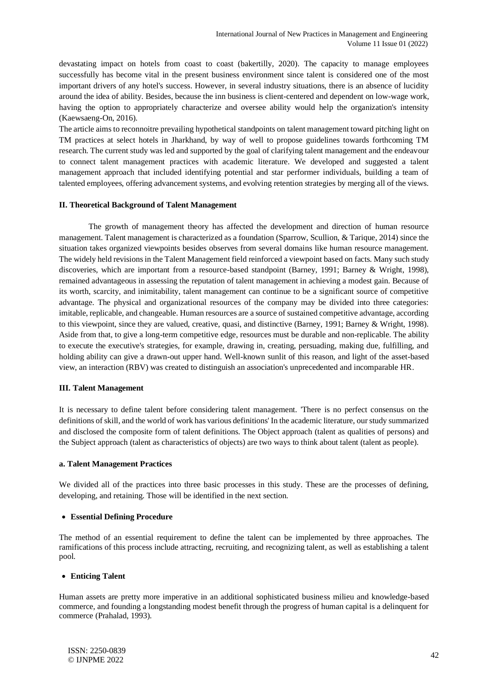devastating impact on hotels from coast to coast (bakertilly, 2020). The capacity to manage employees successfully has become vital in the present business environment since talent is considered one of the most important drivers of any hotel's success. However, in several industry situations, there is an absence of lucidity around the idea of ability. Besides, because the inn business is client-centered and dependent on low-wage work, having the option to appropriately characterize and oversee ability would help the organization's intensity (Kaewsaeng-On, 2016).

The article aims to reconnoitre prevailing hypothetical standpoints on talent management toward pitching light on TM practices at select hotels in Jharkhand, by way of well to propose guidelines towards forthcoming TM research. The current study was led and supported by the goal of clarifying talent management and the endeavour to connect talent management practices with academic literature. We developed and suggested a talent management approach that included identifying potential and star performer individuals, building a team of talented employees, offering advancement systems, and evolving retention strategies by merging all of the views.

#### **II. Theoretical Background of Talent Management**

The growth of management theory has affected the development and direction of human resource management. Talent management is characterized as a foundation (Sparrow, Scullion, & Tarique, 2014) since the situation takes organized viewpoints besides observes from several domains like human resource management. The widely held revisions in the Talent Management field reinforced a viewpoint based on facts. Many such study discoveries, which are important from a resource-based standpoint (Barney, 1991; Barney & Wright, 1998), remained advantageous in assessing the reputation of talent management in achieving a modest gain. Because of its worth, scarcity, and inimitability, talent management can continue to be a significant source of competitive advantage. The physical and organizational resources of the company may be divided into three categories: imitable, replicable, and changeable. Human resources are a source of sustained competitive advantage, according to this viewpoint, since they are valued, creative, quasi, and distinctive (Barney, 1991; Barney & Wright, 1998). Aside from that, to give a long-term competitive edge, resources must be durable and non-replicable. The ability to execute the executive's strategies, for example, drawing in, creating, persuading, making due, fulfilling, and holding ability can give a drawn-out upper hand. Well-known sunlit of this reason, and light of the asset-based view, an interaction (RBV) was created to distinguish an association's unprecedented and incomparable HR.

#### **III. Talent Management**

It is necessary to define talent before considering talent management. 'There is no perfect consensus on the definitions of skill, and the world of work has various definitions' In the academic literature, our study summarized and disclosed the composite form of talent definitions. The Object approach (talent as qualities of persons) and the Subject approach (talent as characteristics of objects) are two ways to think about talent (talent as people).

#### **a. Talent Management Practices**

We divided all of the practices into three basic processes in this study. These are the processes of defining, developing, and retaining. Those will be identified in the next section.

#### • **Essential Defining Procedure**

The method of an essential requirement to define the talent can be implemented by three approaches. The ramifications of this process include attracting, recruiting, and recognizing talent, as well as establishing a talent pool.

#### • **Enticing Talent**

Human assets are pretty more imperative in an additional sophisticated business milieu and knowledge-based commerce, and founding a longstanding modest benefit through the progress of human capital is a delinquent for commerce (Prahalad, 1993).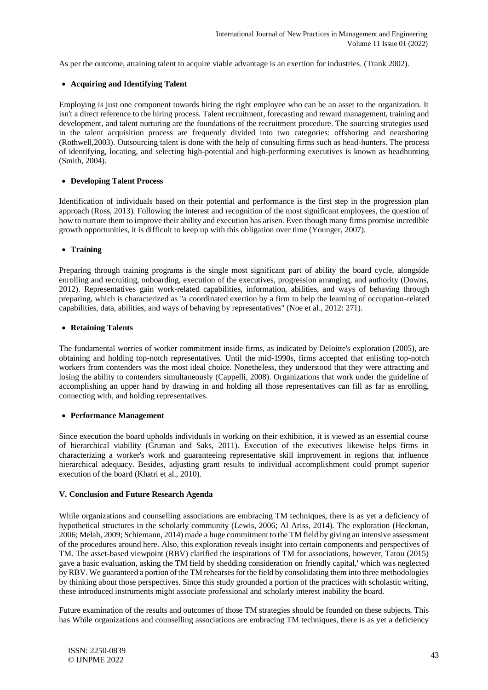As per the outcome, attaining talent to acquire viable advantage is an exertion for industries. (Trank 2002).

### • **Acquiring and Identifying Talent**

Employing is just one component towards hiring the right employee who can be an asset to the organization. It isn't a direct reference to the hiring process. Talent recruitment, forecasting and reward management, training and development, and talent nurturing are the foundations of the recruitment procedure. The sourcing strategies used in the talent acquisition process are frequently divided into two categories: offshoring and nearshoring (Rothwell,2003). Outsourcing talent is done with the help of consulting firms such as head-hunters. The process of identifying, locating, and selecting high-potential and high-performing executives is known as headhunting (Smith, 2004).

### • **Developing Talent Process**

Identification of individuals based on their potential and performance is the first step in the progression plan approach (Ross, 2013). Following the interest and recognition of the most significant employees, the question of how to nurture them to improve their ability and execution has arisen. Even though many firms promise incredible growth opportunities, it is difficult to keep up with this obligation over time (Younger, 2007).

#### • **Training**

Preparing through training programs is the single most significant part of ability the board cycle, alongside enrolling and recruiting, onboarding, execution of the executives, progression arranging, and authority (Downs, 2012). Representatives gain work-related capabilities, information, abilities, and ways of behaving through preparing, which is characterized as "a coordinated exertion by a firm to help the learning of occupation-related capabilities, data, abilities, and ways of behaving by representatives" (Noe et al., 2012: 271).

#### • **Retaining Talents**

The fundamental worries of worker commitment inside firms, as indicated by Deloitte's exploration (2005), are obtaining and holding top-notch representatives. Until the mid-1990s, firms accepted that enlisting top-notch workers from contenders was the most ideal choice. Nonetheless, they understood that they were attracting and losing the ability to contenders simultaneously (Cappelli, 2008). Organizations that work under the guideline of accomplishing an upper hand by drawing in and holding all those representatives can fill as far as enrolling, connecting with, and holding representatives.

#### • **Performance Management**

Since execution the board upholds individuals in working on their exhibition, it is viewed as an essential course of hierarchical viability (Gruman and Saks, 2011). Execution of the executives likewise helps firms in characterizing a worker's work and guaranteeing representative skill improvement in regions that influence hierarchical adequacy. Besides, adjusting grant results to individual accomplishment could prompt superior execution of the board (Khatri et al., 2010).

#### **V. Conclusion and Future Research Agenda**

While organizations and counselling associations are embracing TM techniques, there is as yet a deficiency of hypothetical structures in the scholarly community (Lewis, 2006; Al Ariss, 2014). The exploration (Heckman, 2006; Melah, 2009; Schiemann, 2014) made a huge commitment to the TM field by giving an intensive assessment of the procedures around here. Also, this exploration reveals insight into certain components and perspectives of TM. The asset-based viewpoint (RBV) clarified the inspirations of TM for associations, however, Tatou (2015) gave a basic evaluation, asking the TM field by shedding consideration on friendly capital,' which was neglected by RBV. We guaranteed a portion of the TM rehearses for the field by consolidating them into three methodologies by thinking about those perspectives. Since this study grounded a portion of the practices with scholastic writing, these introduced instruments might associate professional and scholarly interest inability the board.

Future examination of the results and outcomes of those TM strategies should be founded on these subjects. This has While organizations and counselling associations are embracing TM techniques, there is as yet a deficiency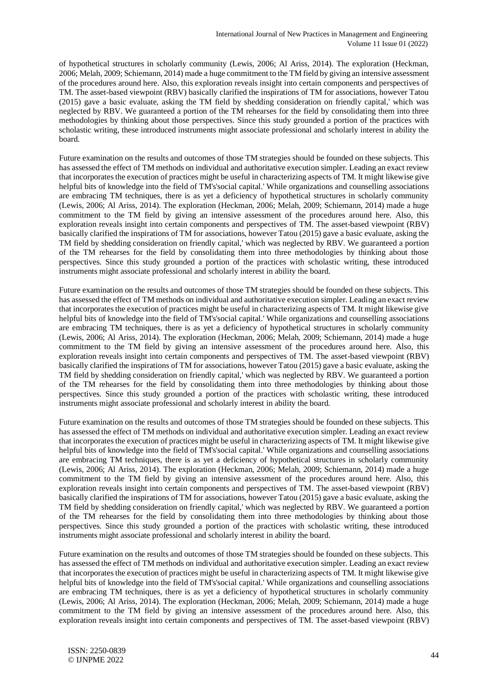of hypothetical structures in scholarly community (Lewis, 2006; Al Ariss, 2014). The exploration (Heckman, 2006; Melah, 2009; Schiemann, 2014) made a huge commitment to the TM field by giving an intensive assessment of the procedures around here. Also, this exploration reveals insight into certain components and perspectives of TM. The asset-based viewpoint (RBV) basically clarified the inspirations of TM for associations, however Tatou (2015) gave a basic evaluate, asking the TM field by shedding consideration on friendly capital,' which was neglected by RBV. We guaranteed a portion of the TM rehearses for the field by consolidating them into three methodologies by thinking about those perspectives. Since this study grounded a portion of the practices with scholastic writing, these introduced instruments might associate professional and scholarly interest in ability the board.

Future examination on the results and outcomes of those TM strategies should be founded on these subjects. This has assessed the effect of TM methods on individual and authoritative execution simpler. Leading an exact review that incorporates the execution of practices might be useful in characterizing aspects of TM. It might likewise give helpful bits of knowledge into the field of TM's'social capital.' While organizations and counselling associations are embracing TM techniques, there is as yet a deficiency of hypothetical structures in scholarly community (Lewis, 2006; Al Ariss, 2014). The exploration (Heckman, 2006; Melah, 2009; Schiemann, 2014) made a huge commitment to the TM field by giving an intensive assessment of the procedures around here. Also, this exploration reveals insight into certain components and perspectives of TM. The asset-based viewpoint (RBV) basically clarified the inspirations of TM for associations, however Tatou (2015) gave a basic evaluate, asking the TM field by shedding consideration on friendly capital,' which was neglected by RBV. We guaranteed a portion of the TM rehearses for the field by consolidating them into three methodologies by thinking about those perspectives. Since this study grounded a portion of the practices with scholastic writing, these introduced instruments might associate professional and scholarly interest in ability the board.

Future examination on the results and outcomes of those TM strategies should be founded on these subjects. This has assessed the effect of TM methods on individual and authoritative execution simpler. Leading an exact review that incorporates the execution of practices might be useful in characterizing aspects of TM. It might likewise give helpful bits of knowledge into the field of TM's'social capital.' While organizations and counselling associations are embracing TM techniques, there is as yet a deficiency of hypothetical structures in scholarly community (Lewis, 2006; Al Ariss, 2014). The exploration (Heckman, 2006; Melah, 2009; Schiemann, 2014) made a huge commitment to the TM field by giving an intensive assessment of the procedures around here. Also, this exploration reveals insight into certain components and perspectives of TM. The asset-based viewpoint (RBV) basically clarified the inspirations of TM for associations, however Tatou (2015) gave a basic evaluate, asking the TM field by shedding consideration on friendly capital,' which was neglected by RBV. We guaranteed a portion of the TM rehearses for the field by consolidating them into three methodologies by thinking about those perspectives. Since this study grounded a portion of the practices with scholastic writing, these introduced instruments might associate professional and scholarly interest in ability the board.

Future examination on the results and outcomes of those TM strategies should be founded on these subjects. This has assessed the effect of TM methods on individual and authoritative execution simpler. Leading an exact review that incorporates the execution of practices might be useful in characterizing aspects of TM. It might likewise give helpful bits of knowledge into the field of TM's'social capital.' While organizations and counselling associations are embracing TM techniques, there is as yet a deficiency of hypothetical structures in scholarly community (Lewis, 2006; Al Ariss, 2014). The exploration (Heckman, 2006; Melah, 2009; Schiemann, 2014) made a huge commitment to the TM field by giving an intensive assessment of the procedures around here. Also, this exploration reveals insight into certain components and perspectives of TM. The asset-based viewpoint (RBV) basically clarified the inspirations of TM for associations, however Tatou (2015) gave a basic evaluate, asking the TM field by shedding consideration on friendly capital,' which was neglected by RBV. We guaranteed a portion of the TM rehearses for the field by consolidating them into three methodologies by thinking about those perspectives. Since this study grounded a portion of the practices with scholastic writing, these introduced instruments might associate professional and scholarly interest in ability the board.

Future examination on the results and outcomes of those TM strategies should be founded on these subjects. This has assessed the effect of TM methods on individual and authoritative execution simpler. Leading an exact review that incorporates the execution of practices might be useful in characterizing aspects of TM. It might likewise give helpful bits of knowledge into the field of TM's'social capital.' While organizations and counselling associations are embracing TM techniques, there is as yet a deficiency of hypothetical structures in scholarly community (Lewis, 2006; Al Ariss, 2014). The exploration (Heckman, 2006; Melah, 2009; Schiemann, 2014) made a huge commitment to the TM field by giving an intensive assessment of the procedures around here. Also, this exploration reveals insight into certain components and perspectives of TM. The asset-based viewpoint (RBV)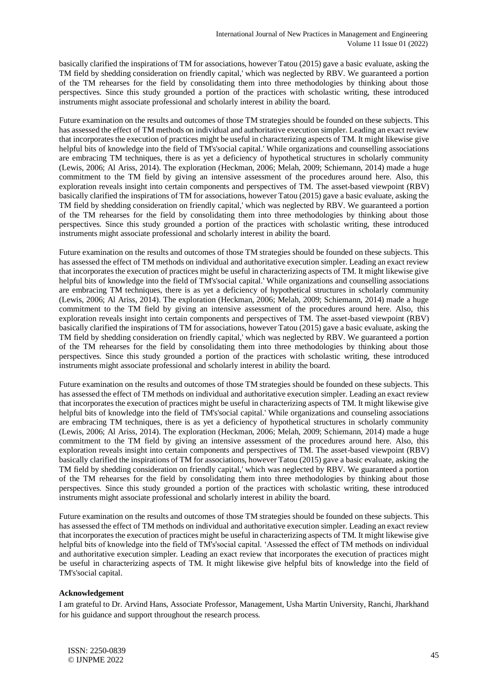basically clarified the inspirations of TM for associations, however Tatou (2015) gave a basic evaluate, asking the TM field by shedding consideration on friendly capital,' which was neglected by RBV. We guaranteed a portion of the TM rehearses for the field by consolidating them into three methodologies by thinking about those perspectives. Since this study grounded a portion of the practices with scholastic writing, these introduced instruments might associate professional and scholarly interest in ability the board.

Future examination on the results and outcomes of those TM strategies should be founded on these subjects. This has assessed the effect of TM methods on individual and authoritative execution simpler. Leading an exact review that incorporates the execution of practices might be useful in characterizing aspects of TM. It might likewise give helpful bits of knowledge into the field of TM's'social capital.' While organizations and counselling associations are embracing TM techniques, there is as yet a deficiency of hypothetical structures in scholarly community (Lewis, 2006; Al Ariss, 2014). The exploration (Heckman, 2006; Melah, 2009; Schiemann, 2014) made a huge commitment to the TM field by giving an intensive assessment of the procedures around here. Also, this exploration reveals insight into certain components and perspectives of TM. The asset-based viewpoint (RBV) basically clarified the inspirations of TM for associations, however Tatou (2015) gave a basic evaluate, asking the TM field by shedding consideration on friendly capital,' which was neglected by RBV. We guaranteed a portion of the TM rehearses for the field by consolidating them into three methodologies by thinking about those perspectives. Since this study grounded a portion of the practices with scholastic writing, these introduced instruments might associate professional and scholarly interest in ability the board.

Future examination on the results and outcomes of those TM strategies should be founded on these subjects. This has assessed the effect of TM methods on individual and authoritative execution simpler. Leading an exact review that incorporates the execution of practices might be useful in characterizing aspects of TM. It might likewise give helpful bits of knowledge into the field of TM's'social capital.' While organizations and counselling associations are embracing TM techniques, there is as yet a deficiency of hypothetical structures in scholarly community (Lewis, 2006; Al Ariss, 2014). The exploration (Heckman, 2006; Melah, 2009; Schiemann, 2014) made a huge commitment to the TM field by giving an intensive assessment of the procedures around here. Also, this exploration reveals insight into certain components and perspectives of TM. The asset-based viewpoint (RBV) basically clarified the inspirations of TM for associations, however Tatou (2015) gave a basic evaluate, asking the TM field by shedding consideration on friendly capital,' which was neglected by RBV. We guaranteed a portion of the TM rehearses for the field by consolidating them into three methodologies by thinking about those perspectives. Since this study grounded a portion of the practices with scholastic writing, these introduced instruments might associate professional and scholarly interest in ability the board.

Future examination on the results and outcomes of those TM strategies should be founded on these subjects. This has assessed the effect of TM methods on individual and authoritative execution simpler. Leading an exact review that incorporates the execution of practices might be useful in characterizing aspects of TM. It might likewise give helpful bits of knowledge into the field of TM's'social capital.' While organizations and counseling associations are embracing TM techniques, there is as yet a deficiency of hypothetical structures in scholarly community (Lewis, 2006; Al Ariss, 2014). The exploration (Heckman, 2006; Melah, 2009; Schiemann, 2014) made a huge commitment to the TM field by giving an intensive assessment of the procedures around here. Also, this exploration reveals insight into certain components and perspectives of TM. The asset-based viewpoint (RBV) basically clarified the inspirations of TM for associations, however Tatou (2015) gave a basic evaluate, asking the TM field by shedding consideration on friendly capital,' which was neglected by RBV. We guaranteed a portion of the TM rehearses for the field by consolidating them into three methodologies by thinking about those perspectives. Since this study grounded a portion of the practices with scholastic writing, these introduced instruments might associate professional and scholarly interest in ability the board.

Future examination on the results and outcomes of those TM strategies should be founded on these subjects. This has assessed the effect of TM methods on individual and authoritative execution simpler. Leading an exact review that incorporates the execution of practices might be useful in characterizing aspects of TM. It might likewise give helpful bits of knowledge into the field of TM's'social capital. 'Assessed the effect of TM methods on individual and authoritative execution simpler. Leading an exact review that incorporates the execution of practices might be useful in characterizing aspects of TM. It might likewise give helpful bits of knowledge into the field of TM's'social capital.

#### **Acknowledgement**

I am grateful to Dr. Arvind Hans, Associate Professor, Management, Usha Martin University, Ranchi, Jharkhand for his guidance and support throughout the research process.